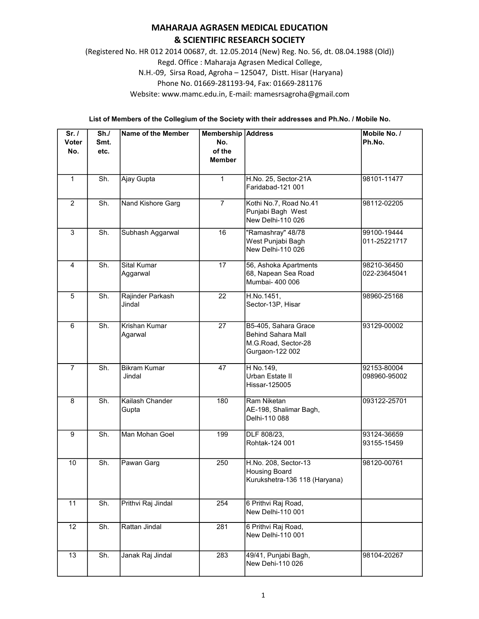## MAHARAJA AGRASEN MEDICAL EDUCATION & SCIENTIFIC RESEARCH SOCIETY

(Registered No. HR 012 2014 00687, dt. 12.05.2014 (New) Reg. No. 56, dt. 08.04.1988 (Old)) Regd. Office : Maharaja Agrasen Medical College, N.H.-09, Sirsa Road, Agroha – 125047, Distt. Hisar (Haryana) Phone No. 01669-281193-94, Fax: 01669-281176 Website: www.mamc.edu.in, E-mail: mamesrsagroha@gmail.com

List of Members of the Collegium of the Society with their addresses and Ph.No. / Mobile No.

| Sr. /<br>Voter<br>No. | $\overline{\mathsf{Sh}}$ ./<br>Smt.<br>etc. | <b>Name of the Member</b>       | <b>Membership Address</b><br>No.<br>of the<br><b>Member</b> |                                                                                             | Mobile No. /<br>Ph.No.      |
|-----------------------|---------------------------------------------|---------------------------------|-------------------------------------------------------------|---------------------------------------------------------------------------------------------|-----------------------------|
| $\mathbf{1}$          | $\overline{\mathsf{Sh}}$ .                  | Ajay Gupta                      | $\mathbf{1}$                                                | H.No. 25, Sector-21A<br>Faridabad-121 001                                                   | 98101-11477                 |
| 2                     | Sh.                                         | Nand Kishore Garg               | $\overline{7}$                                              | Kothi No.7, Road No.41<br>Punjabi Bagh West<br>New Delhi-110 026                            | 98112-02205                 |
| 3                     | Sh.                                         | Subhash Aggarwal                | 16                                                          | "Ramashray" 48/78<br>West Punjabi Bagh<br>New Delhi-110 026                                 | 99100-19444<br>011-25221717 |
| 4                     | Sh.                                         | Sital Kumar<br>Aggarwal         | 17                                                          | 56, Ashoka Apartments<br>68, Napean Sea Road<br>Mumbai- 400 006                             | 98210-36450<br>022-23645041 |
| $\overline{5}$        | $\overline{\mathsf{Sh}}$ .                  | Rajinder Parkash<br>Jindal      | $\overline{22}$                                             | H.No.1451,<br>Sector-13P, Hisar                                                             | 98960-25168                 |
| $6\phantom{1}$        | Sh.                                         | <b>Krishan Kumar</b><br>Agarwal | 27                                                          | B5-405, Sahara Grace<br><b>Behind Sahara Mall</b><br>M.G.Road, Sector-28<br>Gurgaon-122 002 | 93129-00002                 |
| $\overline{7}$        | Sh.                                         | <b>Bikram Kumar</b><br>Jindal   | 47                                                          | H No.149,<br>Urban Estate II<br><b>Hissar-125005</b>                                        | 92153-80004<br>098960-95002 |
| 8                     | Sh.                                         | Kailash Chander<br>Gupta        | 180                                                         | Ram Niketan<br>AE-198, Shalimar Bagh,<br>Delhi-110 088                                      | 093122-25701                |
| 9                     | Sh.                                         | Man Mohan Goel                  | 199                                                         | DLF 808/23,<br>Rohtak-124 001                                                               | 93124-36659<br>93155-15459  |
| 10                    | Sh.                                         | Pawan Garg                      | 250                                                         | H.No. 208, Sector-13<br><b>Housing Board</b><br>Kurukshetra-136 118 (Haryana)               | 98120-00761                 |
| $\overline{11}$       | $\overline{\mathsf{Sh}}$ .                  | Prithvi Raj Jindal              | 254                                                         | 6 Prithvi Raj Road,<br>New Delhi-110 001                                                    |                             |
| 12                    | $\overline{\mathsf{Sh}}$ .                  | Rattan Jindal                   | 281                                                         | 6 Prithvi Raj Road,<br>New Delhi-110 001                                                    |                             |
| 13                    | $\overline{\mathsf{Sh}}$ .                  | Janak Raj Jindal                | 283                                                         | 49/41, Punjabi Bagh,<br>New Dehi-110 026                                                    | 98104-20267                 |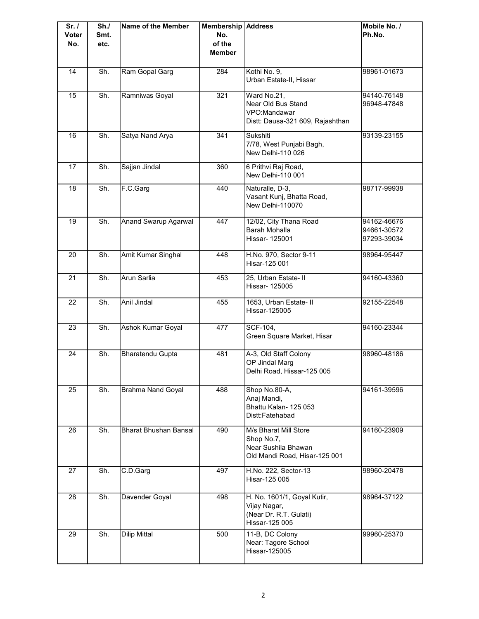| Sr. /<br>Voter  | Sh.<br>Smt.                | Name of the Member           | <b>Membership Address</b><br>No. |                                                                                             | Mobile No. /<br>Ph.No.                    |
|-----------------|----------------------------|------------------------------|----------------------------------|---------------------------------------------------------------------------------------------|-------------------------------------------|
| No.             | etc.                       |                              | of the<br><b>Member</b>          |                                                                                             |                                           |
| 14              | $\overline{\mathsf{Sh}}$ . | Ram Gopal Garg               | 284                              | Kothi No. 9,<br>Urban Estate-II, Hissar                                                     | 98961-01673                               |
| 15              | Sh.                        | Ramniwas Goyal               | 321                              | Ward No.21,<br>Near Old Bus Stand<br>VPO:Mandawar<br>Distt: Dausa-321 609, Rajashthan       | 94140-76148<br>96948-47848                |
| 16              | Sh.                        | Satya Nand Arya              | 341                              | Sukshiti<br>7/78, West Punjabi Bagh,<br>New Delhi-110 026                                   | 93139-23155                               |
| 17              | Sh.                        | Sajjan Jindal                | 360                              | 6 Prithvi Raj Road,<br>New Delhi-110 001                                                    |                                           |
| 18              | Sh.                        | F.C.Garg                     | 440                              | Naturalle, D-3,<br>Vasant Kunj, Bhatta Road,<br>New Delhi-110070                            | 98717-99938                               |
| 19              | Sh.                        | Anand Swarup Agarwal         | 447                              | 12/02, City Thana Road<br><b>Barah Mohalla</b><br>Hissar- 125001                            | 94162-46676<br>94661-30572<br>97293-39034 |
| 20              | Sh.                        | Amit Kumar Singhal           | 448                              | H.No. 970, Sector 9-11<br>Hisar-125 001                                                     | 98964-95447                               |
| 21              | Sh.                        | <b>Arun Sarlia</b>           | 453                              | 25, Urban Estate- II<br><b>Hissar- 125005</b>                                               | 94160-43360                               |
| 22              | $\overline{\mathsf{Sh}}$ . | Anil Jindal                  | 455                              | 1653, Urban Estate- II<br><b>Hissar-125005</b>                                              | 92155-22548                               |
| 23              | Sh.                        | Ashok Kumar Goyal            | 477                              | <b>SCF-104,</b><br>Green Square Market, Hisar                                               | 94160-23344                               |
| $\overline{24}$ | $\overline{\mathsf{Sh}}$ . | <b>Bharatendu Gupta</b>      | 481                              | A-3, Old Staff Colony<br>OP Jindal Marg<br>Delhi Road, Hissar-125 005                       | 98960-48186                               |
| 25              | Sh.                        | <b>Brahma Nand Goyal</b>     | 488                              | Shop No.80-A,<br>Anaj Mandi,<br>Bhattu Kalan- 125 053<br>Distt:Fatehabad                    | 94161-39596                               |
| 26              | Sh.                        | <b>Bharat Bhushan Bansal</b> | 490                              | M/s Bharat Mill Store<br>Shop No.7,<br>Near Sushila Bhawan<br>Old Mandi Road, Hisar-125 001 | 94160-23909                               |
| 27              | Sh.                        | C.D.Garg                     | 497                              | H.No. 222, Sector-13<br>Hisar-125 005                                                       | 98960-20478                               |
| 28              | Sh.                        | Davender Goyal               | 498                              | H. No. 1601/1, Goyal Kutir,<br>Vijay Nagar,<br>(Near Dr. R.T. Gulati)<br>Hissar-125 005     | 98964-37122                               |
| 29              | Sh.                        | <b>Dilip Mittal</b>          | 500                              | 11-B, DC Colony<br>Near: Tagore School<br>Hissar-125005                                     | 99960-25370                               |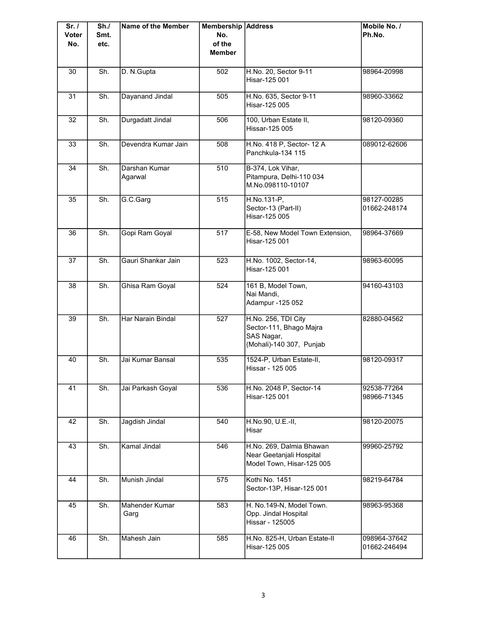| Sr. /<br>Voter  | Sh./<br>Smt.               | <b>Name of the Member</b> | <b>Membership Address</b><br>No. |                                                                                          | Mobile No. /<br>Ph.No.       |
|-----------------|----------------------------|---------------------------|----------------------------------|------------------------------------------------------------------------------------------|------------------------------|
| No.             | etc.                       |                           | of the<br><b>Member</b>          |                                                                                          |                              |
| 30              | $\overline{\mathsf{Sh}}$ . | D. N.Gupta                | 502                              | H.No. 20, Sector 9-11<br>Hisar-125 001                                                   | 98964-20998                  |
| $\overline{31}$ | $\overline{\mathsf{Sh}}$ . | Dayanand Jindal           | 505                              | H.No. 635, Sector 9-11<br>Hisar-125 005                                                  | 98960-33662                  |
| 32              | $\overline{\mathsf{Sh}}$ . | Durgadatt Jindal          | 506                              | 100, Urban Estate II,<br><b>Hissar-125 005</b>                                           | 98120-09360                  |
| 33              | $\overline{\mathsf{Sh}}$ . | Devendra Kumar Jain       | 508                              | H.No. 418 P, Sector- 12 A<br>Panchkula-134 115                                           | 089012-62606                 |
| 34              | Sh.                        | Darshan Kumar<br>Agarwal  | 510                              | B-374, Lok Vihar,<br>Pitampura, Delhi-110 034<br>M.No.098110-10107                       |                              |
| $\overline{35}$ | $\overline{\mathsf{Sh}}$ . | G.C.Garg                  | 515                              | H.No.131-P,<br>Sector-13 (Part-II)<br>Hisar-125 005                                      | 98127-00285<br>01662-248174  |
| 36              | Sh.                        | Gopi Ram Goyal            | 517                              | E-58, New Model Town Extension,<br>Hisar-125 001                                         | 98964-37669                  |
| 37              | Sh.                        | Gauri Shankar Jain        | 523                              | H.No. 1002, Sector-14,<br>Hisar-125 001                                                  | 98963-60095                  |
| 38              | Sh.                        | Ghisa Ram Goyal           | 524                              | 161 B, Model Town,<br>Nai Mandi,<br>Adampur - 125 052                                    | 94160-43103                  |
| 39              | Sh.                        | Har Narain Bindal         | 527                              | H.No. 256, TDI City<br>Sector-111, Bhago Majra<br>SAS Nagar,<br>(Mohali)-140 307, Punjab | 82880-04562                  |
| 40              | Sh.                        | Jai Kumar Bansal          | 535                              | 1524-P, Urban Estate-II,<br>Hissar - 125 005                                             | 98120-09317                  |
| 41              | Sh.                        | Jai Parkash Goyal         | 536                              | H.No. 2048 P, Sector-14<br>Hisar-125 001                                                 | 92538-77264<br>98966-71345   |
| 42              | Sh.                        | Jagdish Jindal            | 540                              | H.No.90, U.E.-II,<br>Hisar                                                               | 98120-20075                  |
| 43              | Sh.                        | Kamal Jindal              | 546                              | H.No. 269, Dalmia Bhawan<br>Near Geetanjali Hospital<br>Model Town, Hisar-125 005        | 99960-25792                  |
| 44              | $\overline{\mathsf{Sh}}$ . | Munish Jindal             | 575                              | Kothi No. 1451<br>Sector-13P, Hisar-125 001                                              | 98219-64784                  |
| 45              | Sh.                        | Mahender Kumar<br>Garg    | 583                              | H. No.149-N, Model Town.<br>Opp. Jindal Hospital<br>Hissar - 125005                      | 98963-95368                  |
| 46              | Sh.                        | Mahesh Jain               | 585                              | H.No. 825-H, Urban Estate-II<br>Hisar-125 005                                            | 098964-37642<br>01662-246494 |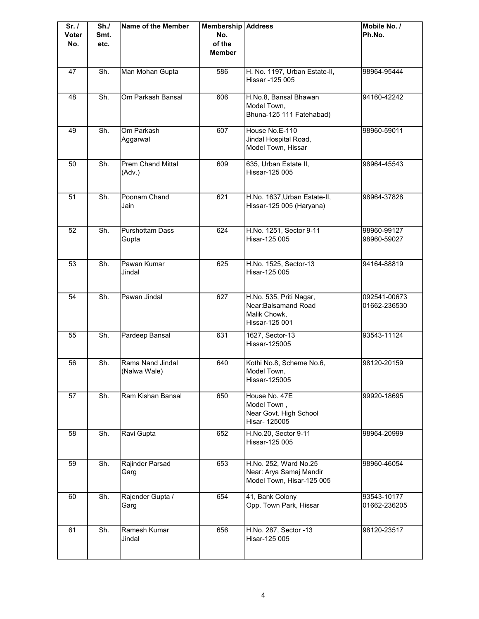| Sr. /<br>Voter  | Sh.<br>Smt.                | <b>Name of the Member</b>        | <b>Membership Address</b><br>No. |                                                                                  | Mobile No. /<br>Ph.No.       |
|-----------------|----------------------------|----------------------------------|----------------------------------|----------------------------------------------------------------------------------|------------------------------|
| No.             | etc.                       |                                  | of the<br><b>Member</b>          |                                                                                  |                              |
| 47              | $\overline{\mathsf{Sh}}$ . | Man Mohan Gupta                  | 586                              | H. No. 1197, Urban Estate-II,<br>Hissar -125 005                                 | 98964-95444                  |
| 48              | $\overline{\mathsf{Sh}}$ . | Om Parkash Bansal                | 606                              | H.No.8, Bansal Bhawan<br>Model Town,<br>Bhuna-125 111 Fatehabad)                 | 94160-42242                  |
| 49              | Sh.                        | Om Parkash<br>Aggarwal           | 607                              | House No.E-110<br>Jindal Hospital Road,<br>Model Town, Hissar                    | 98960-59011                  |
| 50              | Sh.                        | Prem Chand Mittal<br>(Adv.)      | 609                              | 635, Urban Estate II,<br>Hissar-125 005                                          | 98964-45543                  |
| 51              | Sh.                        | Poonam Chand<br>Jain             | 621                              | H.No. 1637, Urban Estate-II,<br>Hissar-125 005 (Haryana)                         | 98964-37828                  |
| 52              | Sh.                        | <b>Purshottam Dass</b><br>Gupta  | 624                              | H.No. 1251, Sector 9-11<br>Hisar-125 005                                         | 98960-99127<br>98960-59027   |
| $\overline{53}$ | Sh.                        | Pawan Kumar<br>Jindal            | 625                              | H.No. 1525, Sector-13<br>Hisar-125 005                                           | 94164-88819                  |
| 54              | Sh.                        | Pawan Jindal                     | 627                              | H.No. 535, Priti Nagar,<br>Near:Balsamand Road<br>Malik Chowk,<br>Hissar-125 001 | 092541-00673<br>01662-236530 |
| 55              | Sh.                        | Pardeep Bansal                   | 631                              | 1627, Sector-13<br>Hissar-125005                                                 | 93543-11124                  |
| 56              | Sh.                        | Rama Nand Jindal<br>(Nalwa Wale) | 640                              | Kothi No.8, Scheme No.6,<br>Model Town,<br><b>Hissar-125005</b>                  | 98120-20159                  |
| 57              | Sh.                        | Ram Kishan Bansal                | 650                              | House No. 47E<br>Model Town,<br>Near Govt. High School<br>Hisar- 125005          | 99920-18695                  |
| 58              | Sh.                        | Ravi Gupta                       | 652                              | H.No.20, Sector 9-11<br>Hissar-125 005                                           | 98964-20999                  |
| 59              | Sh.                        | Rajinder Parsad<br>Garg          | 653                              | H.No. 252, Ward No.25<br>Near: Arya Samaj Mandir<br>Model Town, Hisar-125 005    | 98960-46054                  |
| 60              | Sh.                        | Rajender Gupta /<br>Garg         | 654                              | 41, Bank Colony<br>Opp. Town Park, Hissar                                        | 93543-10177<br>01662-236205  |
| 61              | Sh.                        | Ramesh Kumar<br>Jindal           | 656                              | H.No. 287, Sector -13<br>Hisar-125 005                                           | 98120-23517                  |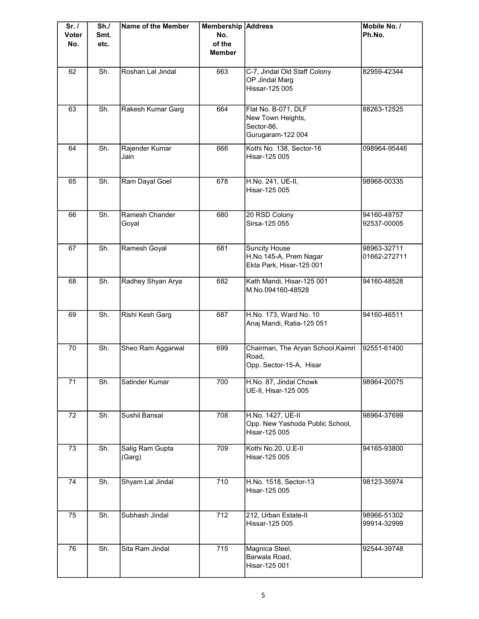| Sr. /<br>Voter  | Sh.<br>Smt.                | <b>Name of the Member</b> | <b>Membership</b><br>No. | <b>Address</b>                                                              | Mobile No. /<br>Ph.No.      |
|-----------------|----------------------------|---------------------------|--------------------------|-----------------------------------------------------------------------------|-----------------------------|
| No.             | etc.                       |                           | of the<br><b>Member</b>  |                                                                             |                             |
|                 |                            |                           |                          |                                                                             |                             |
| 62              | Sh.                        | Roshan Lal Jindal         | 663                      | C-7, Jindal Old Staff Colony<br>OP Jindal Marg<br>Hissar-125 005            | 82959-42344                 |
| 63              | $\overline{\mathsf{Sh}}$ . | Rakesh Kumar Garg         | 664                      | Flat No. B-071, DLF<br>New Town Heights,<br>Sector-86,<br>Gurugaram-122 004 | 88263-12525                 |
| 64              | $\overline{\mathsf{Sh}}$ . | Rajender Kumar<br>Jain    | 666                      | Kothi No. 138, Sector-16<br>Hisar-125 005                                   | 098964-95446                |
| 65              | Sh.                        | Ram Dayal Goel            | 678                      | H.No. 241, UE-II,<br>Hisar-125 005                                          | 98968-00335                 |
| 66              | $\overline{\mathsf{Sh}}$ . | Ramesh Chander<br>Goyal   | 680                      | 20 RSD Colony<br>Sirsa-125 055                                              | 94160-49757<br>92537-00005  |
| 67              | Sh.                        | Ramesh Goyal              | 681                      | <b>Suncity House</b><br>H.No.145-A, Prem Nagar<br>Ekta Park, Hisar-125 001  | 98963-32711<br>01662-272711 |
| 68              | Sh.                        | Radhey Shyan Arya         | 682                      | Kath Mandi, Hisar-125 001<br>M.No.094160-48528                              | 94160-48528                 |
| 69              | Sh.                        | Rishi Kesh Garg           | 687                      | H.No. 173, Ward No. 10<br>Anaj Mandi, Ratia-125 051                         | 94160-46511                 |
| 70              | Sh.                        | Sheo Ram Aggarwal         | 699                      | Chairman, The Aryan School, Kaimri<br>Road,<br>Opp. Sector-15-A, Hisar      | 92551-61400                 |
| 71              | Sh.                        | Satinder Kumar            | 700                      | H.No. 87, Jindal Chowk<br>UE-II, Hisar-125 005                              | 98964-20075                 |
| 72              | $\overline{\mathsf{Sh}}$ . | Sushil Bansal             | 708                      | H.No. 1427, UE-II<br>Opp. New Yashoda Public School,<br>Hisar-125 005       | 98964-37699                 |
| 73              | Sh.                        | Salig Ram Gupta<br>(Garg) | 709                      | Kothi No.20, U.E-II<br>Hisar-125 005                                        | 94165-93800                 |
| $\overline{74}$ | Sh.                        | Shyam Lal Jindal          | 710                      | H.No. 1518, Sector-13<br>Hisar-125 005                                      | 98123-35974                 |
| 75              | Sh.                        | Subhash Jindal            | $\overline{712}$         | 212, Urban Estate-II<br>Hissar-125 005                                      | 98966-51302<br>99914-32999  |
| 76              | Sh.                        | Sita Ram Jindal           | $\overline{715}$         | Magnica Steel,<br>Barwala Road,<br>Hisar-125 001                            | 92544-39748                 |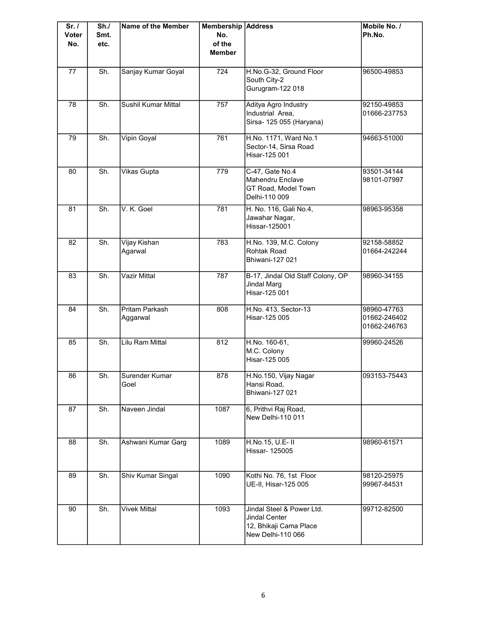| Sr.1<br>Voter<br>No. | Sh./<br>Smt.<br>etc.       | Name of the Member         | Membership<br>No.<br>of the<br><b>Member</b> | <b>Address</b>                                                                            | Mobile No. /<br>Ph.No.                      |
|----------------------|----------------------------|----------------------------|----------------------------------------------|-------------------------------------------------------------------------------------------|---------------------------------------------|
| 77                   | Sh.                        | Sanjay Kumar Goyal         | 724                                          | H.No.G-32, Ground Floor<br>South City-2<br>Gurugram-122 018                               | 96500-49853                                 |
| $\overline{78}$      | Sh.                        | Sushil Kumar Mittal        | 757                                          | Aditya Agro Industry<br>Industrial Area,<br>Sirsa- 125 055 (Haryana)                      | 92150-49853<br>01666-237753                 |
| 79                   | $\overline{\mathsf{Sh}}$ . | Vipin Goyal                | 761                                          | H.No. 1171, Ward No.1<br>Sector-14, Sirsa Road<br>Hisar-125 001                           | 94663-51000                                 |
| 80                   | Sh.                        | Vikas Gupta                | 779                                          | C-47, Gate No.4<br><b>Mahendru Enclave</b><br>GT Road, Model Town<br>Delhi-110 009        | 93501-34144<br>98101-07997                  |
| 81                   | $\overline{\mathsf{Sh}}$ . | V. K. Goel                 | 781                                          | H. No. 116, Gali No.4,<br>Jawahar Nagar,<br><b>Hissar-125001</b>                          | 98963-95358                                 |
| 82                   | Sh.                        | Vijay Kishan<br>Agarwal    | 783                                          | H.No. 139, M.C. Colony<br>Rohtak Road<br>Bhiwani-127 021                                  | 92158-58852<br>01664-242244                 |
| 83                   | $\overline{\mathsf{Sh}}$ . | Vazir Mittal               | 787                                          | B-17, Jindal Old Staff Colony, OP<br>Jindal Marg<br>Hisar-125 001                         | 98960-34155                                 |
| 84                   | Sh.                        | Pritam Parkash<br>Aggarwal | 808                                          | H.No. 413, Sector-13<br>Hisar-125 005                                                     | 98960-47763<br>01662-246402<br>01662-246763 |
| 85                   | Sh.                        | <b>Lilu Ram Mittal</b>     | 812                                          | H.No. 160-61,<br>M.C. Colony<br>Hisar-125 005                                             | 99960-24526                                 |
| 86                   | Sh.                        | Surender Kumar<br>Goel     | 878                                          | H.No.150, Vijay Nagar<br>Hansi Road,<br>Bhiwani-127 021                                   | 093153-75443                                |
| 87                   | Sh.                        | Naveen Jindal              | 1087                                         | 6, Prithvi Raj Road,<br>New Delhi-110 011                                                 |                                             |
| 88                   | $\overline{\mathsf{Sh}}$ . | Ashwani Kumar Garg         | 1089                                         | H.No.15, U.E- II<br>Hissar- 125005                                                        | 98960-61571                                 |
| 89                   | Sh.                        | Shiv Kumar Singal          | 1090                                         | Kothi No. 76, 1st Floor<br>UE-II, Hisar-125 005                                           | 98120-25975<br>99967-84531                  |
| 90                   | Sh.                        | <b>Vivek Mittal</b>        | 1093                                         | Jindal Steel & Power Ltd.<br>Jindal Center<br>12, Bhikaji Cama Place<br>New Delhi-110 066 | 99712-82500                                 |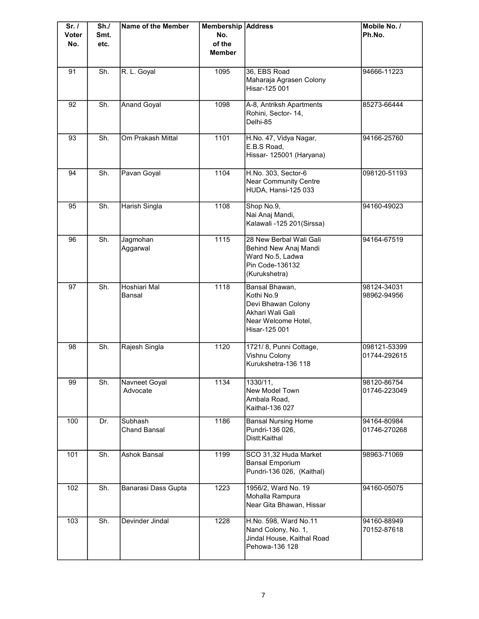| Sr.1<br>Voter<br>No. | Sh./<br>Smt.<br>etc. | Name of the Member             | Membership<br>No.<br>of the<br><b>Member</b> | <b>Address</b>                                                                                                 | Mobile No. /<br>Ph.No.       |
|----------------------|----------------------|--------------------------------|----------------------------------------------|----------------------------------------------------------------------------------------------------------------|------------------------------|
| 91                   | Sh.                  | R. L. Goyal                    | 1095                                         | 36, EBS Road<br>Maharaja Agrasen Colony<br>Hisar-125 001                                                       | 94666-11223                  |
| 92                   | Sh.                  | <b>Anand Goyal</b>             | 1098                                         | A-8, Antriksh Apartments<br>Rohini, Sector- 14,<br>Delhi-85                                                    | 85273-66444                  |
| 93                   | Sh.                  | Om Prakash Mittal              | 1101                                         | H.No. 47, Vidya Nagar,<br>E.B.S Road,<br>Hissar- 125001 (Haryana)                                              | 94166-25760                  |
| 94                   | Sh.                  | Pavan Goyal                    | 1104                                         | H.No. 303, Sector-6<br><b>Near Community Centre</b><br>HUDA, Hansi-125 033                                     | 098120-51193                 |
| 95                   | Sh.                  | Harish Singla                  | 1108                                         | Shop No.9,<br>Nai Anaj Mandi,<br>Kalawali -125 201(Sirssa)                                                     | 94160-49023                  |
| 96                   | Sh.                  | Jagmohan<br>Aggarwal           | 1115                                         | 28 New Berbal Wali Gali<br>Behind New Anaj Mandi<br>Ward No.5, Ladwa<br>Pin Code-136132<br>(Kurukshetra)       | 94164-67519                  |
| 97                   | Sh.                  | Hoshiari Mal<br>Bansal         | 1118                                         | Bansal Bhawan,<br>Kothi No.9<br>Devi Bhawan Colony<br>Akhari Wali Gali<br>Near Welcome Hotel,<br>Hisar-125 001 | 98124-34031<br>98962-94956   |
| 98                   | Sh.                  | Rajesh Singla                  | 1120                                         | 1721/8, Punni Cottage,<br>Vishnu Colony<br>Kurukshetra-136 118                                                 | 098121-53399<br>01744-292615 |
| 99                   | Sh.                  | Navneet Goyal<br>Advocate      | 1134                                         | 1330/11,<br>New Model Town<br>Ambala Road,<br>Kaithal-136 027                                                  | 98120-86754<br>01746-223049  |
| 100                  | Dr.                  | Subhash<br><b>Chand Bansal</b> | 1186                                         | <b>Bansal Nursing Home</b><br>Pundri-136 026,<br>Distt:Kaithal                                                 | 94164-80984<br>01746-270268  |
| 101                  | Sh.                  | <b>Ashok Bansal</b>            | 1199                                         | SCO 31,32 Huda Market<br><b>Bansal Emporium</b><br>Pundri-136 026, (Kaithal)                                   | 98963-71069                  |
| 102                  | Sh.                  | Banarasi Dass Gupta            | 1223                                         | 1956/2, Ward No. 19<br>Mohalla Rampura<br>Near Gita Bhawan, Hissar                                             | 94160-05075                  |
| 103                  | Sh.                  | Devinder Jindal                | 1228                                         | H.No. 598, Ward No.11<br>Nand Colony, No. 1,<br>Jindal House, Kaithal Road<br>Pehowa-136 128                   | 94160-88949<br>70152-87618   |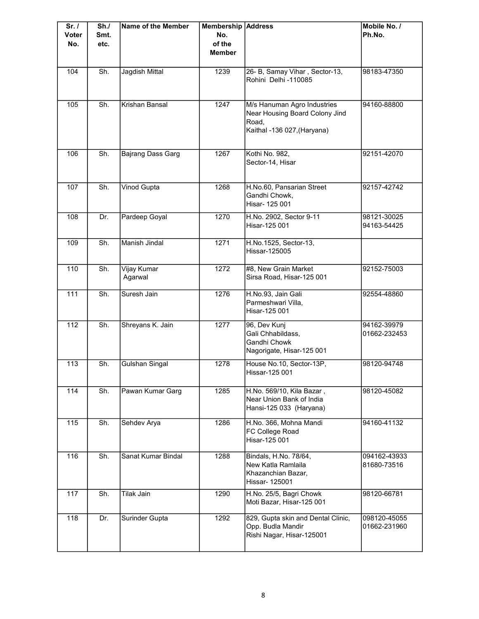| Sr. /<br>Voter<br>No. | Sh.<br>Smt.<br>etc.        | <b>Name of the Member</b> | <b>Membership Address</b><br>No.<br>of the<br>Member |                                                                                                       | Mobile No. /<br>Ph.No.       |
|-----------------------|----------------------------|---------------------------|------------------------------------------------------|-------------------------------------------------------------------------------------------------------|------------------------------|
| 104                   | $\overline{\mathsf{Sh}}$ . | <b>Jagdish Mittal</b>     | 1239                                                 | 26- B, Samay Vihar, Sector-13,<br>Rohini Delhi -110085                                                | 98183-47350                  |
| 105                   | Sh.                        | Krishan Bansal            | 1247                                                 | M/s Hanuman Agro Industries<br>Near Housing Board Colony Jind<br>Road,<br>Kaithal -136 027, (Haryana) | 94160-88800                  |
| 106                   | Sh.                        | Bajrang Dass Garg         | 1267                                                 | Kothi No. 982,<br>Sector-14, Hisar                                                                    | 92151-42070                  |
| 107                   | $\overline{\mathsf{Sh}}$ . | <b>Vinod Gupta</b>        | 1268                                                 | H.No.60, Pansarian Street<br>Gandhi Chowk,<br>Hisar- 125 001                                          | 92157-42742                  |
| 108                   | Dr.                        | Pardeep Goyal             | 1270                                                 | H.No. 2902, Sector 9-11<br>Hisar-125 001                                                              | 98121-30025<br>94163-54425   |
| 109                   | Sh.                        | <b>Manish Jindal</b>      | 1271                                                 | H.No.1525, Sector-13,<br>Hissar-125005                                                                |                              |
| 110                   | Sh.                        | Vijay Kumar<br>Agarwal    | 1272                                                 | #8, New Grain Market<br>Sirsa Road, Hisar-125 001                                                     | 92152-75003                  |
| 111                   | Sh.                        | Suresh Jain               | 1276                                                 | H.No.93, Jain Gali<br>Parmeshwari Villa,<br>Hisar-125 001                                             | 92554-48860                  |
| 112                   | $\overline{\mathsf{Sh}}$ . | Shreyans K. Jain          | 1277                                                 | 96, Dev Kunj<br>Gali Chhabildass,<br>Gandhi Chowk<br>Nagorigate, Hisar-125 001                        | 94162-39979<br>01662-232453  |
| 113                   | $\overline{\mathsf{Sh}}$ . | <b>Gulshan Singal</b>     | 1278                                                 | House No.10, Sector-13P,<br>Hissar-125 001                                                            | 98120-94748                  |
| 114                   | Sh.                        | Pawan Kumar Garg          | 1285                                                 | H.No. 569/10, Kila Bazar,<br>Near Union Bank of India<br>Hansi-125 033 (Haryana)                      | 98120-45082                  |
| 115                   | Sh.                        | Sehdev Arya               | 1286                                                 | H.No. 366, Mohna Mandi<br>FC College Road<br>Hisar-125 001                                            | 94160-41132                  |
| 116                   | Sh.                        | Sanat Kumar Bindal        | 1288                                                 | Bindals, H.No. 78/64,<br>New Katla Ramlaila<br>Khazanchian Bazar,<br>Hissar- 125001                   | 094162-43933<br>81680-73516  |
| 117                   | $\overline{\mathsf{Sh}}$ . | Tilak Jain                | 1290                                                 | H.No. 25/5, Bagri Chowk<br>Moti Bazar, Hisar-125 001                                                  | 98120-66781                  |
| 118                   | Dr.                        | Surinder Gupta            | 1292                                                 | 829, Gupta skin and Dental Clinic,<br>Opp. Budla Mandir<br>Rishi Nagar, Hisar-125001                  | 098120-45055<br>01662-231960 |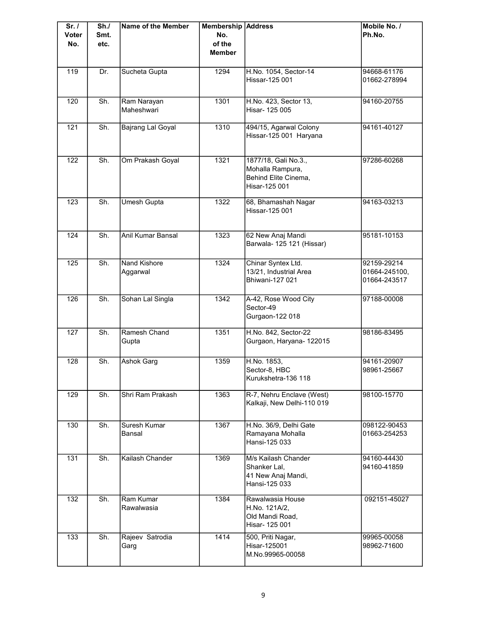| Sr. /<br>Voter<br>No. | Sh.<br>Smt.<br>etc.        | Name of the Member        | <b>Membership Address</b><br>No.<br>of the<br>Member |                                                                                   | Mobile No. /<br>Ph.No.                       |
|-----------------------|----------------------------|---------------------------|------------------------------------------------------|-----------------------------------------------------------------------------------|----------------------------------------------|
| 119                   | Dr.                        | Sucheta Gupta             | 1294                                                 | H.No. 1054, Sector-14<br>Hissar-125 001                                           | 94668-61176<br>01662-278994                  |
| 120                   | $\overline{\mathsf{Sh}}$ . | Ram Narayan<br>Maheshwari | 1301                                                 | H.No. 423, Sector 13,<br>Hisar- 125 005                                           | 94160-20755                                  |
| 121                   | Sh.                        | Bajrang Lal Goyal         | 1310                                                 | 494/15, Agarwal Colony<br>Hissar-125 001 Haryana                                  | 94161-40127                                  |
| 122                   | Sh.                        | Om Prakash Goyal          | 1321                                                 | 1877/18, Gali No.3.,<br>Mohalla Rampura,<br>Behind Elite Cinema,<br>Hisar-125 001 | 97286-60268                                  |
| 123                   | Sh.                        | Umesh Gupta               | 1322                                                 | 68, Bhamashah Nagar<br>Hissar-125 001                                             | 94163-03213                                  |
| 124                   | Sh.                        | <b>Anil Kumar Bansal</b>  | 1323                                                 | 62 New Anaj Mandi<br>Barwala- 125 121 (Hissar)                                    | 95181-10153                                  |
| 125                   | Sh.                        | Nand Kishore<br>Aggarwal  | 1324                                                 | Chinar Syntex Ltd.<br>13/21, Industrial Area<br>Bhiwani-127 021                   | 92159-29214<br>01664-245100,<br>01664-243517 |
| 126                   | Sh.                        | Sohan Lal Singla          | 1342                                                 | A-42, Rose Wood City<br>Sector-49<br>Gurgaon-122 018                              | 97188-00008                                  |
| 127                   | $\overline{\mathsf{Sh}}$ . | Ramesh Chand<br>Gupta     | 1351                                                 | H.No. 842, Sector-22<br>Gurgaon, Haryana- 122015                                  | 98186-83495                                  |
| 128                   | $\overline{\mathsf{Sh}}$ . | Ashok Garg                | 1359                                                 | H.No. 1853,<br>Sector-8, HBC<br>Kurukshetra-136 118                               | 94161-20907<br>98961-25667                   |
| 129                   | Sh.                        | Shri Ram Prakash          | 1363                                                 | R-7, Nehru Enclave (West)<br>Kalkaji, New Delhi-110 019                           | 98100-15770                                  |
| 130                   | Sh.                        | Suresh Kumar<br>Bansal    | 1367                                                 | H.No. 36/9, Delhi Gate<br>Ramayana Mohalla<br>Hansi-125 033                       | 098122-90453<br>01663-254253                 |
| 131                   | Sh.                        | Kailash Chander           | 1369                                                 | M/s Kailash Chander<br>Shanker Lal,<br>41 New Anaj Mandi,<br>Hansi-125 033        | 94160-44430<br>94160-41859                   |
| 132                   | Sh.                        | Ram Kumar<br>Rawalwasia   | 1384                                                 | Rawalwasia House<br>H.No. 121A/2,<br>Old Mandi Road,<br>Hisar- 125 001            | 092151-45027                                 |
| 133                   | $\overline{\mathsf{Sh}}$ . | Rajeev Satrodia<br>Garg   | 1414                                                 | 500, Priti Nagar,<br>Hisar-125001<br>M.No.99965-00058                             | 99965-00058<br>98962-71600                   |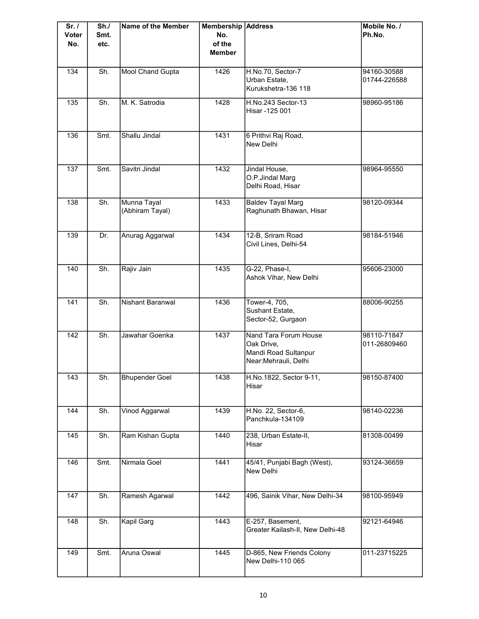| Sr. /<br>Voter<br>No. | Sh.<br>Smt.<br>etc.        | <b>Name of the Member</b>      | <b>Membership Address</b><br>No.<br>of the<br><b>Member</b> |                                                                                     | Mobile No. /<br>Ph.No.      |
|-----------------------|----------------------------|--------------------------------|-------------------------------------------------------------|-------------------------------------------------------------------------------------|-----------------------------|
| $\frac{134}{x}$       | $\overline{\mathsf{Sh}}$ . | <b>Mool Chand Gupta</b>        | 1426                                                        | H.No.70, Sector-7<br>Urban Estate,<br>Kurukshetra-136 118                           | 94160-30588<br>01744-226588 |
| 135                   | Sh.                        | M. K. Satrodia                 | 1428                                                        | H.No.243 Sector-13<br>Hisar -125 001                                                | 98960-95186                 |
| 136                   | Smt.                       | Shallu Jindal                  | 1431                                                        | 6 Prithvi Raj Road,<br>New Delhi                                                    |                             |
| 137                   | Smt.                       | Savitri Jindal                 | 1432                                                        | Jindal House,<br>O.P.Jindal Marg<br>Delhi Road, Hisar                               | 98964-95550                 |
| 138                   | Sh.                        | Munna Tayal<br>(Abhiram Tayal) | 1433                                                        | <b>Baldev Tayal Marg</b><br>Raghunath Bhawan, Hisar                                 | 98120-09344                 |
| 139                   | Dr.                        | Anurag Aggarwal                | 1434                                                        | 12-B, Sriram Road<br>Civil Lines, Delhi-54                                          | 98184-51946                 |
| 140                   | $\overline{\mathsf{Sh}}$ . | Rajiv Jain                     | 1435                                                        | G-22, Phase-I,<br>Ashok Vihar, New Delhi                                            | 95606-23000                 |
| 141                   | Sh.                        | <b>Nishant Baranwal</b>        | 1436                                                        | Tower-4, 705,<br>Sushant Estate,<br>Sector-52, Gurgaon                              | 88006-90255                 |
| 142                   | Sh.                        | Jawahar Goenka                 | 1437                                                        | Nand Tara Forum House<br>Oak Drive,<br>Mandi Road Sultanpur<br>Near:Mehrauli, Delhi | 98110-71847<br>011-26809460 |
| 143                   | Sh.                        | <b>Bhupender Goel</b>          | 1438                                                        | H.No.1822, Sector 9-11,<br>Hisar                                                    | 98150-87400                 |
| 144                   | Sh.                        | Vinod Aggarwal                 | 1439                                                        | H.No. 22, Sector-6,<br>Panchkula-134109                                             | 98140-02236                 |
| 145                   | Sh.                        | Ram Kishan Gupta               | 1440                                                        | 238, Urban Estate-II,<br>Hisar                                                      | 81308-00499                 |
| 146                   | Smt.                       | Nirmala Goel                   | 1441                                                        | 45/41, Punjabi Bagh (West),<br>New Delhi                                            | 93124-36659                 |
| 147                   | Sh.                        | Ramesh Agarwal                 | 1442                                                        | 496, Sainik Vihar, New Delhi-34                                                     | 98100-95949                 |
| 148                   | Sh.                        | Kapil Garg                     | 1443                                                        | E-257, Basement,<br>Greater Kailash-II, New Delhi-48                                | 92121-64946                 |
| 149                   | Smt.                       | Aruna Oswal                    | 1445                                                        | D-865, New Friends Colony<br>New Delhi-110 065                                      | 011-23715225                |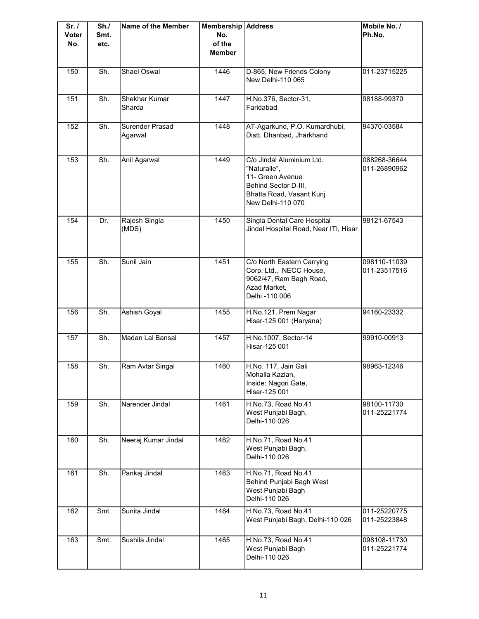| Sr. /<br>Voter<br>No. | Sh.<br>Smt.<br>etc.        | <b>Name of the Member</b>  | <b>Membership Address</b><br>No.<br>of the<br><b>Member</b> |                                                                                                                                        | Mobile No. /<br>Ph.No.       |
|-----------------------|----------------------------|----------------------------|-------------------------------------------------------------|----------------------------------------------------------------------------------------------------------------------------------------|------------------------------|
| 150                   | $\overline{\mathsf{Sh}}$ . | <b>Shael Oswal</b>         | 1446                                                        | D-865, New Friends Colony<br>New Delhi-110 065                                                                                         | 011-23715225                 |
| 151                   | Sh.                        | Shekhar Kumar<br>Sharda    | 1447                                                        | H.No.376, Sector-31,<br>Faridabad                                                                                                      | 98188-99370                  |
| 152                   | Sh.                        | Surender Prasad<br>Agarwal | 1448                                                        | AT-Agarkund, P.O. Kumardhubi,<br>Distt. Dhanbad, Jharkhand                                                                             | 94370-03584                  |
| 153                   | $\overline{\mathsf{Sh}}$ . | Anil Agarwal               | 1449                                                        | C/o Jindal Aluminium Ltd.<br>"Naturalle",<br>11- Green Avenue<br>Behind Sector D-III,<br>Bhatta Road, Vasant Kunj<br>New Delhi-110 070 | 088268-36644<br>011-26890962 |
| 154                   | Dr.                        | Rajesh Singla<br>(MDS)     | 1450                                                        | Singla Dental Care Hospital<br>Jindal Hospital Road, Near ITI, Hisar                                                                   | 98121-67543                  |
| 155                   | Sh.                        | Sunil Jain                 | 1451                                                        | C/o North Eastern Carrying<br>Corp. Ltd., NECC House,<br>9062/47, Ram Bagh Road,<br>Azad Market,<br>Delhi -110 006                     | 098110-11039<br>011-23517516 |
| 156                   | Sh.                        | Ashish Goyal               | 1455                                                        | H.No.121, Prem Nagar<br>Hisar-125 001 (Haryana)                                                                                        | 94160-23332                  |
| 157                   | Sh.                        | Madan Lal Bansal           | 1457                                                        | H.No.1007, Sector-14<br>Hisar-125 001                                                                                                  | 99910-00913                  |
| 158                   | Sh.                        | Ram Avtar Singal           | 1460                                                        | H.No. 117, Jain Gali<br>Mohalla Kazian,<br>Inside: Nagori Gate,<br>Hisar-125 001                                                       | 98963-12346                  |
| 159                   | Sh.                        | Narender Jindal            | 1461                                                        | H.No.73, Road No.41<br>West Punjabi Bagh,<br>Delhi-110 026                                                                             | 98100-11730<br>011-25221774  |
| 160                   | $\overline{\mathsf{Sh}}$ . | Neeraj Kumar Jindal        | 1462                                                        | H.No.71, Road No.41<br>West Punjabi Bagh,<br>Delhi-110 026                                                                             |                              |
| 161                   | Sh.                        | Pankaj Jindal              | 1463                                                        | H.No.71, Road No.41<br>Behind Punjabi Bagh West<br>West Punjabi Bagh<br>Delhi-110 026                                                  |                              |
| 162                   | Smt.                       | Sunita Jindal              | 1464                                                        | H.No.73, Road No.41<br>West Punjabi Bagh, Delhi-110 026                                                                                | 011-25220775<br>011-25223848 |
| 163                   | Smt.                       | Sushila Jindal             | 1465                                                        | H.No.73, Road No.41<br>West Punjabi Bagh<br>Delhi-110 026                                                                              | 098108-11730<br>011-25221774 |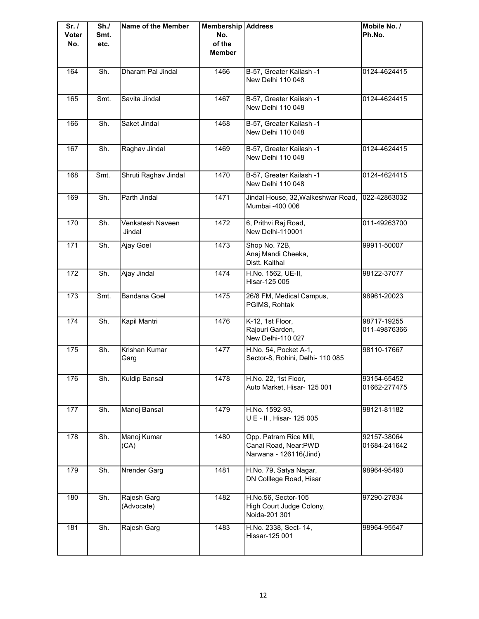| Sr. /            | Sh.                        | Name of the Member   | <b>Membership Address</b> |                                               | Mobile No. / |
|------------------|----------------------------|----------------------|---------------------------|-----------------------------------------------|--------------|
| Voter<br>No.     | Smt.<br>etc.               |                      | No.<br>of the             |                                               | Ph.No.       |
|                  |                            |                      | <b>Member</b>             |                                               |              |
|                  |                            |                      |                           |                                               |              |
| 164              | Sh.                        | Dharam Pal Jindal    | 1466                      | B-57, Greater Kailash -1                      | 0124-4624415 |
|                  |                            |                      |                           | New Delhi 110 048                             |              |
|                  |                            |                      |                           |                                               |              |
| 165              | Smt.                       | Savita Jindal        | 1467                      | B-57, Greater Kailash -1<br>New Delhi 110 048 | 0124-4624415 |
|                  |                            |                      |                           |                                               |              |
| 166              | Sh.                        | Saket Jindal         | 1468                      | B-57, Greater Kailash -1                      |              |
|                  |                            |                      |                           | New Delhi 110 048                             |              |
| 167              | Sh.                        | Raghav Jindal        | 1469                      | B-57, Greater Kailash -1                      | 0124-4624415 |
|                  |                            |                      |                           | New Delhi 110 048                             |              |
|                  |                            |                      |                           |                                               |              |
| 168              | Smt.                       | Shruti Raghav Jindal | 1470                      | B-57, Greater Kailash -1                      | 0124-4624415 |
|                  |                            |                      |                           | New Delhi 110 048                             |              |
| 169              | Sh.                        | Parth Jindal         | 1471                      | Jindal House, 32, Walkeshwar Road,            | 022-42863032 |
|                  |                            |                      |                           | Mumbai -400 006                               |              |
| 170              | $\overline{\mathsf{Sh}}$ . | Venkatesh Naveen     | 1472                      | 6, Prithvi Raj Road,                          | 011-49263700 |
|                  |                            | Jindal               |                           | New Delhi-110001                              |              |
| 171              | Sh.                        | Ajay Goel            | 1473                      | Shop No. 72B,                                 | 99911-50007  |
|                  |                            |                      |                           | Anaj Mandi Cheeka,                            |              |
|                  |                            |                      |                           | Distt. Kaithal                                |              |
| 172              | Sh.                        | Ajay Jindal          | 1474                      | H.No. 1562, UE-II,                            | 98122-37077  |
|                  |                            |                      |                           | Hisar-125 005                                 |              |
| 173              | Smt.                       | <b>Bandana Goel</b>  | 1475                      | 26/8 FM, Medical Campus,                      | 98961-20023  |
|                  |                            |                      |                           | PGIMS, Rohtak                                 |              |
| 174              | $\overline{\mathsf{Sh}}$ . | Kapil Mantri         | 1476                      | K-12, 1st Floor,                              | 98717-19255  |
|                  |                            |                      |                           | Rajouri Garden,                               | 011-49876366 |
|                  |                            |                      |                           | New Delhi-110 027                             |              |
| $\overline{175}$ | $\overline{\mathsf{Sh}}$ . | Krishan Kumar        | 1477                      | H.No. 54, Pocket A-1,                         | 98110-17667  |
|                  |                            | Garg                 |                           | Sector-8, Rohini, Delhi- 110 085              |              |
|                  |                            |                      |                           |                                               |              |
| 176              | Sh.                        | <b>Kuldip Bansal</b> | 1478                      | H.No. 22, 1st Floor,                          | 93154-65452  |
|                  |                            |                      |                           | Auto Market, Hisar- 125 001                   | 01662-277475 |
|                  |                            |                      |                           |                                               |              |
| 177              | Sh.                        | Manoj Bansal         | 1479                      | H.No. 1592-93,<br>U E - II, Hisar- 125 005    | 98121-81182  |
|                  |                            |                      |                           |                                               |              |
| 178              | $\overline{\mathsf{Sh}}$ . | Manoj Kumar          | 1480                      | Opp. Patram Rice Mill,                        | 92157-38064  |
|                  |                            | (CA)                 |                           | Canal Road, Near:PWD                          | 01684-241642 |
|                  |                            |                      |                           | Narwana - 126116(Jind)                        |              |
| 179              | Sh.                        | Nrender Garg         | 1481                      | H.No. 79, Satya Nagar,                        | 98964-95490  |
|                  |                            |                      |                           | DN Colllege Road, Hisar                       |              |
|                  |                            |                      |                           |                                               |              |
| 180              | $\overline{\mathsf{Sh}}$ . | Rajesh Garg          | 1482                      | H.No.56, Sector-105                           | 97290-27834  |
|                  |                            | (Advocate)           |                           | High Court Judge Colony,<br>Noida-201 301     |              |
|                  |                            |                      |                           |                                               |              |
| 181              | $\overline{\mathsf{Sh}}$ . | Rajesh Garg          | 1483                      | H.No. 2338, Sect- 14,<br>Hissar-125 001       | 98964-95547  |
|                  |                            |                      |                           |                                               |              |
|                  |                            |                      |                           |                                               |              |